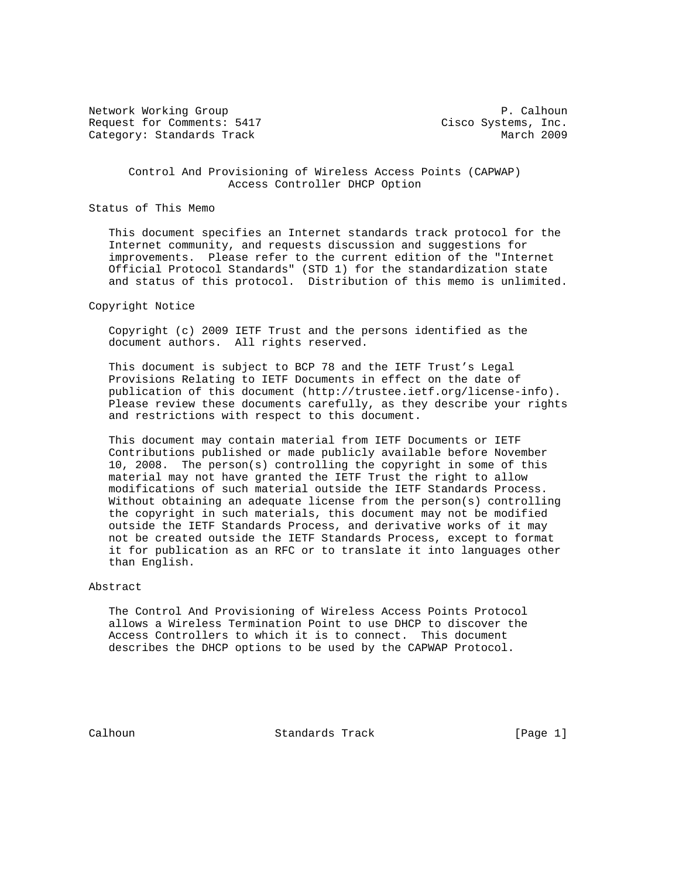Network Working Group **P. Calhoun** P. Calhoun Request for Comments: 5417 Cisco Systems, Inc. Category: Standards Track March 2009

 Control And Provisioning of Wireless Access Points (CAPWAP) Access Controller DHCP Option

Status of This Memo

 This document specifies an Internet standards track protocol for the Internet community, and requests discussion and suggestions for improvements. Please refer to the current edition of the "Internet Official Protocol Standards" (STD 1) for the standardization state and status of this protocol. Distribution of this memo is unlimited.

Copyright Notice

 Copyright (c) 2009 IETF Trust and the persons identified as the document authors. All rights reserved.

 This document is subject to BCP 78 and the IETF Trust's Legal Provisions Relating to IETF Documents in effect on the date of publication of this document (http://trustee.ietf.org/license-info). Please review these documents carefully, as they describe your rights and restrictions with respect to this document.

 This document may contain material from IETF Documents or IETF Contributions published or made publicly available before November 10, 2008. The person(s) controlling the copyright in some of this material may not have granted the IETF Trust the right to allow modifications of such material outside the IETF Standards Process. Without obtaining an adequate license from the person(s) controlling the copyright in such materials, this document may not be modified outside the IETF Standards Process, and derivative works of it may not be created outside the IETF Standards Process, except to format it for publication as an RFC or to translate it into languages other than English.

Abstract

 The Control And Provisioning of Wireless Access Points Protocol allows a Wireless Termination Point to use DHCP to discover the Access Controllers to which it is to connect. This document describes the DHCP options to be used by the CAPWAP Protocol.

Calhoun Standards Track [Page 1]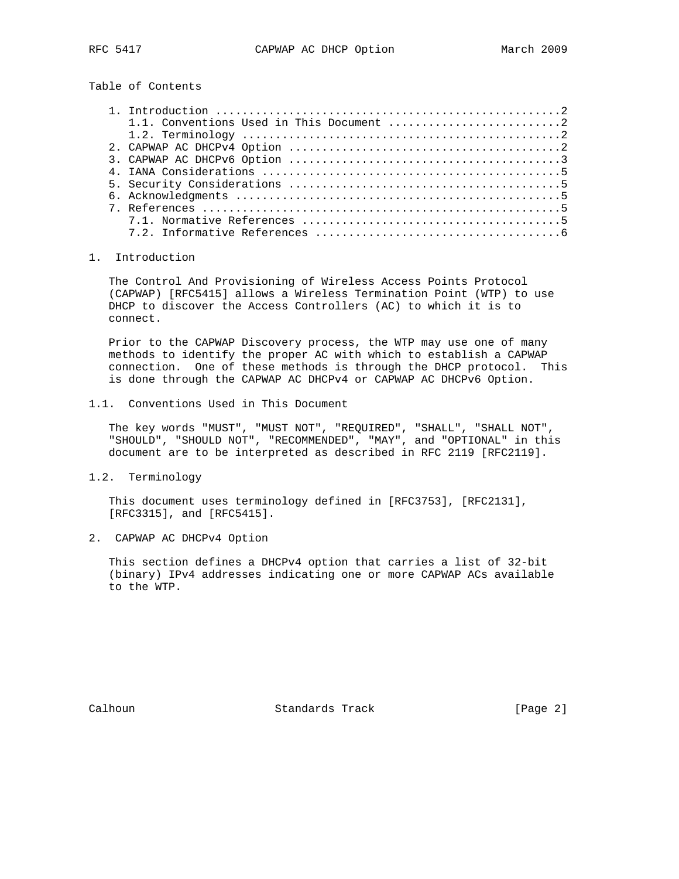Table of Contents

## 1. Introduction

 The Control And Provisioning of Wireless Access Points Protocol (CAPWAP) [RFC5415] allows a Wireless Termination Point (WTP) to use DHCP to discover the Access Controllers (AC) to which it is to connect.

 Prior to the CAPWAP Discovery process, the WTP may use one of many methods to identify the proper AC with which to establish a CAPWAP connection. One of these methods is through the DHCP protocol. This is done through the CAPWAP AC DHCPv4 or CAPWAP AC DHCPv6 Option.

1.1. Conventions Used in This Document

 The key words "MUST", "MUST NOT", "REQUIRED", "SHALL", "SHALL NOT", "SHOULD", "SHOULD NOT", "RECOMMENDED", "MAY", and "OPTIONAL" in this document are to be interpreted as described in RFC 2119 [RFC2119].

1.2. Terminology

 This document uses terminology defined in [RFC3753], [RFC2131], [RFC3315], and [RFC5415].

2. CAPWAP AC DHCPv4 Option

 This section defines a DHCPv4 option that carries a list of 32-bit (binary) IPv4 addresses indicating one or more CAPWAP ACs available to the WTP.

Calhoun Standards Track [Page 2]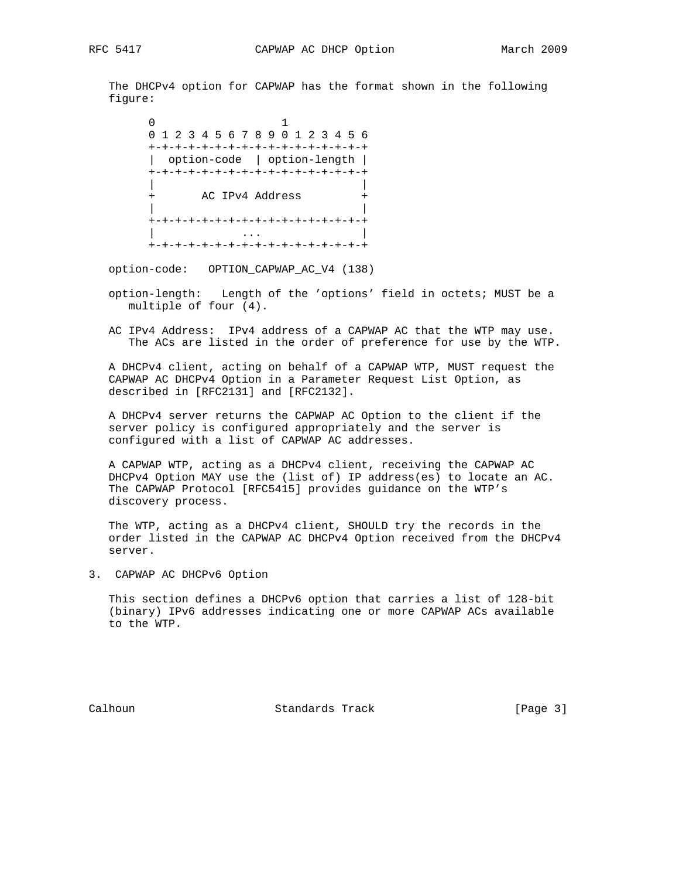The DHCPv4 option for CAPWAP has the format shown in the following figure:

 $\sim$  0  $\sim$  1 0 1 2 3 4 5 6 7 8 9 0 1 2 3 4 5 6 +-+-+-+-+-+-+-+-+-+-+-+-+-+-+-+-+ | option-code | option-length | +-+-+-+-+-+-+-+-+-+-+-+-+-+-+-+-+ | | + AC IPv4 Address + | | +-+-+-+-+-+-+-+-+-+-+-+-+-+-+-+-+ | ... | ... | ... | ... | ... | ... | ... | ... | ... | ... | ... | ... | ... | ... | ... | ... | ... | ... | . +-+-+-+-+-+-+-+-+-+-+-+-+-+-+-+-+

option-code: OPTION\_CAPWAP\_AC\_V4 (138)

- option-length: Length of the 'options' field in octets; MUST be a multiple of four (4).
- AC IPv4 Address: IPv4 address of a CAPWAP AC that the WTP may use. The ACs are listed in the order of preference for use by the WTP.

 A DHCPv4 client, acting on behalf of a CAPWAP WTP, MUST request the CAPWAP AC DHCPv4 Option in a Parameter Request List Option, as described in [RFC2131] and [RFC2132].

 A DHCPv4 server returns the CAPWAP AC Option to the client if the server policy is configured appropriately and the server is configured with a list of CAPWAP AC addresses.

 A CAPWAP WTP, acting as a DHCPv4 client, receiving the CAPWAP AC DHCPv4 Option MAY use the (list of) IP address(es) to locate an AC. The CAPWAP Protocol [RFC5415] provides guidance on the WTP's discovery process.

 The WTP, acting as a DHCPv4 client, SHOULD try the records in the order listed in the CAPWAP AC DHCPv4 Option received from the DHCPv4 server.

3. CAPWAP AC DHCPv6 Option

 This section defines a DHCPv6 option that carries a list of 128-bit (binary) IPv6 addresses indicating one or more CAPWAP ACs available to the WTP.

Calhoun **Standards Track** [Page 3]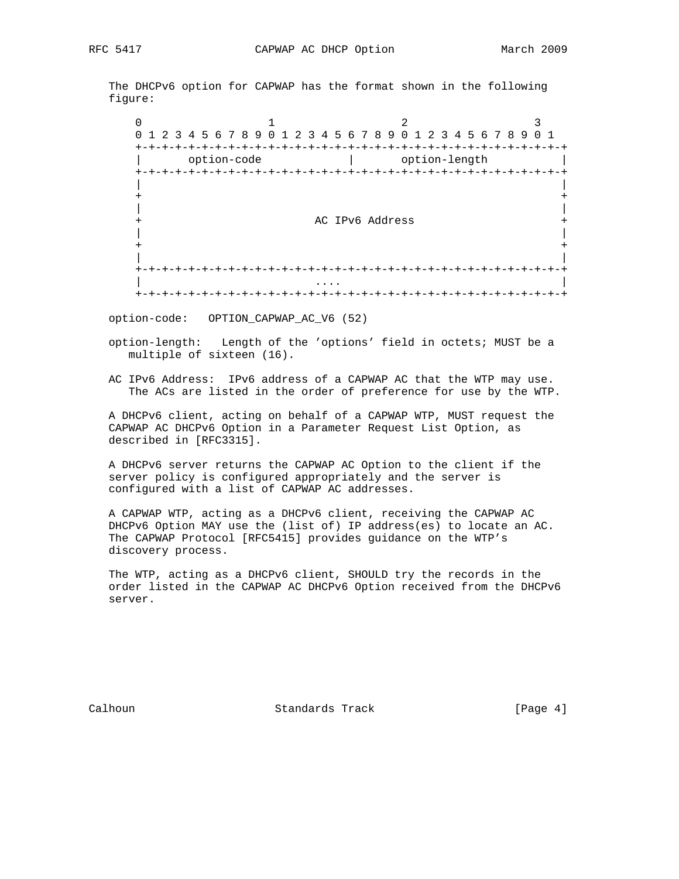The DHCPv6 option for CAPWAP has the format shown in the following figure:

 $0$  1 2 3 0 1 2 3 4 5 6 7 8 9 0 1 2 3 4 5 6 7 8 9 0 1 2 3 4 5 6 7 8 9 0 1 +-+-+-+-+-+-+-+-+-+-+-+-+-+-+-+-+-+-+-+-+-+-+-+-+-+-+-+-+-+-+-+-+ | option-code | option-length | +-+-+-+-+-+-+-+-+-+-+-+-+-+-+-+-+-+-+-+-+-+-+-+-+-+-+-+-+-+-+-+-+ | | + + | | + AC IPv6 Address + AC IPv6 Address +  $\vert$  | | + + | | +-+-+-+-+-+-+-+-+-+-+-+-+-+-+-+-+-+-+-+-+-+-+-+-+-+-+-+-+-+-+-+-+ | .... | .... | .... | .... | .... | .... | .... | .... | .... | .... | .... | .... | .... | .... | .... | ... +-+-+-+-+-+-+-+-+-+-+-+-+-+-+-+-+-+-+-+-+-+-+-+-+-+-+-+-+-+-+-+-+

option-code: OPTION\_CAPWAP\_AC\_V6 (52)

 option-length: Length of the 'options' field in octets; MUST be a multiple of sixteen (16).

 AC IPv6 Address: IPv6 address of a CAPWAP AC that the WTP may use. The ACs are listed in the order of preference for use by the WTP.

 A DHCPv6 client, acting on behalf of a CAPWAP WTP, MUST request the CAPWAP AC DHCPv6 Option in a Parameter Request List Option, as described in [RFC3315].

 A DHCPv6 server returns the CAPWAP AC Option to the client if the server policy is configured appropriately and the server is configured with a list of CAPWAP AC addresses.

 A CAPWAP WTP, acting as a DHCPv6 client, receiving the CAPWAP AC DHCPv6 Option MAY use the (list of) IP address(es) to locate an AC. The CAPWAP Protocol [RFC5415] provides guidance on the WTP's discovery process.

 The WTP, acting as a DHCPv6 client, SHOULD try the records in the order listed in the CAPWAP AC DHCPv6 Option received from the DHCPv6 server.

Calhoun Standards Track [Page 4]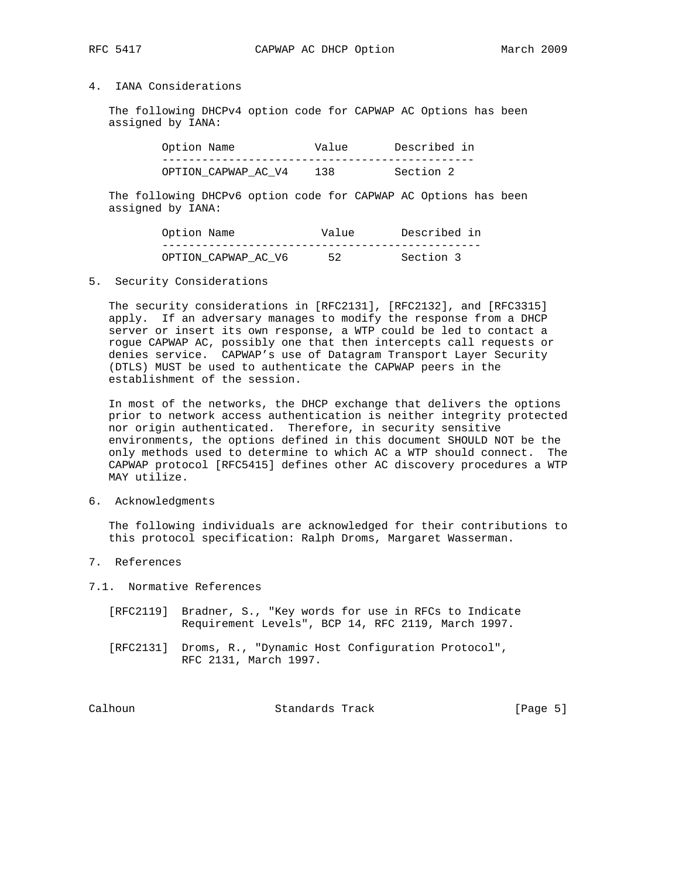## 4. IANA Considerations

 The following DHCPv4 option code for CAPWAP AC Options has been assigned by IANA:

| Option Name         | Value | Described in |
|---------------------|-------|--------------|
|                     |       |              |
| OPTION CAPWAP AC V4 | 138   | Section 2    |

 The following DHCPv6 option code for CAPWAP AC Options has been assigned by IANA:

| Option Name         | Value | Described in |
|---------------------|-------|--------------|
|                     |       |              |
| OPTION CAPWAP AC V6 | 52    | Section 3    |

5. Security Considerations

 The security considerations in [RFC2131], [RFC2132], and [RFC3315] apply. If an adversary manages to modify the response from a DHCP server or insert its own response, a WTP could be led to contact a rogue CAPWAP AC, possibly one that then intercepts call requests or denies service. CAPWAP's use of Datagram Transport Layer Security (DTLS) MUST be used to authenticate the CAPWAP peers in the establishment of the session.

 In most of the networks, the DHCP exchange that delivers the options prior to network access authentication is neither integrity protected nor origin authenticated. Therefore, in security sensitive environments, the options defined in this document SHOULD NOT be the only methods used to determine to which AC a WTP should connect. The CAPWAP protocol [RFC5415] defines other AC discovery procedures a WTP MAY utilize.

6. Acknowledgments

 The following individuals are acknowledged for their contributions to this protocol specification: Ralph Droms, Margaret Wasserman.

- 7. References
- 7.1. Normative References
	- [RFC2119] Bradner, S., "Key words for use in RFCs to Indicate Requirement Levels", BCP 14, RFC 2119, March 1997.
	- [RFC2131] Droms, R., "Dynamic Host Configuration Protocol", RFC 2131, March 1997.

Calhoun Standards Track [Page 5]